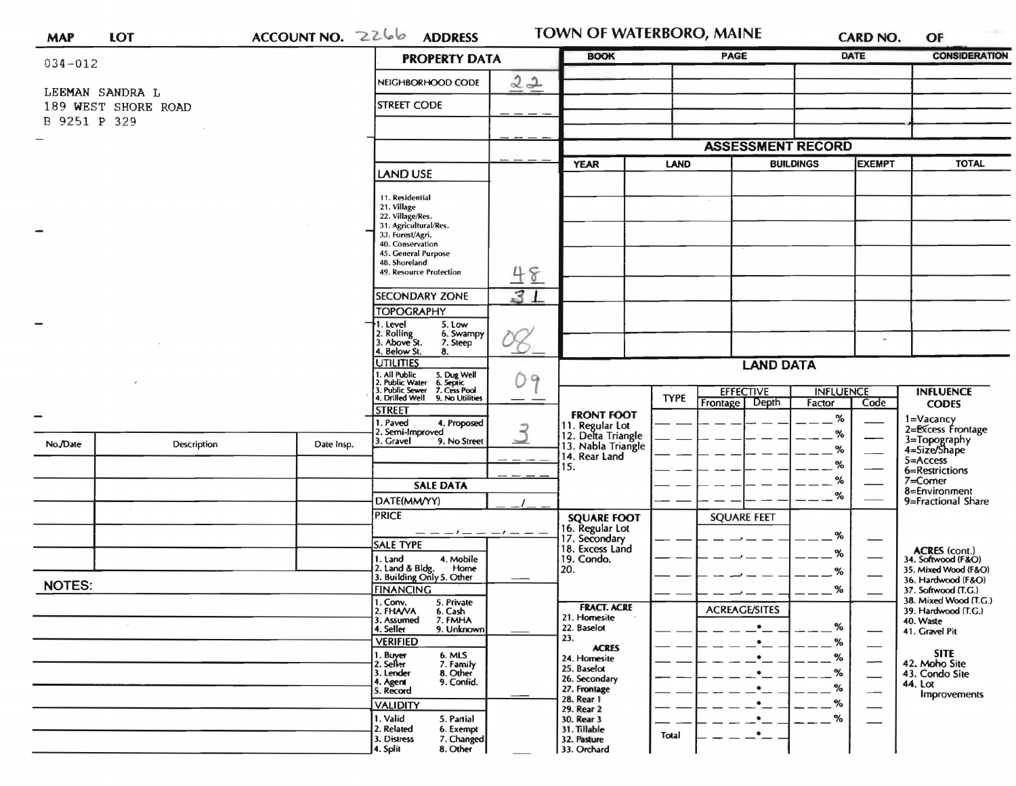| <b>MAP</b>    | <b>LOT</b>          | ACCOUNTNO. 2266 | <b>ADDRESS</b>                                                                                                                                              |                                       | <b>TOWN OF WATERBORO, MAINE</b>                   | <b>CARD NO.</b>                    | OF                                           |
|---------------|---------------------|-----------------|-------------------------------------------------------------------------------------------------------------------------------------------------------------|---------------------------------------|---------------------------------------------------|------------------------------------|----------------------------------------------|
| $034 - 012$   |                     |                 | <b>PROPERTY DATA</b>                                                                                                                                        | <b>BOOK</b>                           | <b>PAGE</b>                                       | <b>DATE</b>                        | <b>CONSIDERATION</b>                         |
|               | LEEMAN SANDRA L     |                 | 22<br>NEIGHBORHOOD CODE                                                                                                                                     |                                       |                                                   |                                    |                                              |
|               | 189 WEST SHORE ROAD |                 | <b>STREET CODE</b>                                                                                                                                          |                                       |                                                   |                                    |                                              |
| B 9251 P 329  |                     |                 |                                                                                                                                                             |                                       |                                                   |                                    |                                              |
|               |                     |                 |                                                                                                                                                             |                                       | <b>ASSESSMENT RECORD</b>                          |                                    |                                              |
|               |                     |                 |                                                                                                                                                             | <b>YEAR</b>                           | <b>LAND</b>                                       | <b>BUILDINGS</b><br><b>EXEMPT</b>  | <b>TOTAL</b>                                 |
|               |                     |                 | LAND USE                                                                                                                                                    |                                       |                                                   |                                    |                                              |
|               |                     |                 | 11. Residential<br>21. Village<br>22. Village/Res.<br>31. Agricultural/Res.<br>33. Forest/Agri.<br>40. Conservation<br>45. General Purpose<br>48. Shoreland |                                       |                                                   |                                    |                                              |
|               |                     |                 | 48<br>49. Resource Protection                                                                                                                               |                                       |                                                   |                                    |                                              |
|               |                     |                 | 31<br><b>SECONDARY ZONE</b>                                                                                                                                 |                                       |                                                   |                                    |                                              |
|               |                     |                 | <b>TOPOGRAPHY</b>                                                                                                                                           |                                       |                                                   |                                    |                                              |
|               |                     |                 | 1. Level<br>$5.1$ ow<br>2. Rolling<br>3. Above St.<br>6. Swampy<br>7. Steep<br>4. Below St.<br>8.                                                           |                                       |                                                   | $\overline{\phantom{a}}$           |                                              |
|               |                     |                 | <b>UTILITIES</b>                                                                                                                                            | <b>LAND DATA</b>                      |                                                   |                                    |                                              |
|               |                     |                 | 1. All Public 5. Dug Well<br>2. Public Water 6. Septic<br>3. Public Sewer 7. Cess Pool<br>4. Drilled Well 9. No Utilitie<br>09                              |                                       |                                                   |                                    |                                              |
|               |                     |                 | 9. No Utilities                                                                                                                                             |                                       | <b>EFFECTIVE</b><br><b>TYPE</b><br>Frontage Depth | <b>INFLUENCE</b><br>Code<br>Factor | <b>INFLUENCE</b><br><b>CODES</b>             |
|               |                     |                 | <b>STREET</b><br>1. Paved<br>4. Proposed                                                                                                                    | <b>FRONT FOOT</b>                     |                                                   | $\%$                               | 1=Vacancy<br>2=Excess Frontage               |
|               |                     |                 | 2<br>2. Semi-Improved<br>3. Gravel<br>9. No Street                                                                                                          | 11. Regular Lot<br>12. Delta Triangle |                                                   | %                                  |                                              |
| No./Date      | Description         | Date Insp.      |                                                                                                                                                             | 13. Nabla Triangle<br>14. Rear Land   |                                                   | %                                  | 3=Topography<br>4=Size/Shape<br>5=Access     |
|               |                     |                 |                                                                                                                                                             | 15.                                   |                                                   | %                                  | 6=Restrictions                               |
|               |                     |                 | <b>SALE DATA</b>                                                                                                                                            |                                       |                                                   | %                                  | 7=Corner<br>8=Environment                    |
|               |                     |                 | DATE(MM/YY)                                                                                                                                                 |                                       |                                                   | %                                  | 9=Fractional Share                           |
|               |                     |                 | <b>PRICE</b>                                                                                                                                                | <b>SQUARE FOOT</b><br>16. Regular Lot | <b>SQUARE FEET</b>                                |                                    |                                              |
|               |                     |                 | - - - - - -<br><b>SALE TYPE</b>                                                                                                                             | 17. Secondary                         |                                                   | %                                  |                                              |
|               |                     |                 | 1. Land<br>4. Mobile                                                                                                                                        | 18. Excess Land<br>19. Condo.         |                                                   | %                                  | ACRES (cont.)<br>34. Softwood (F&O)          |
|               |                     |                 | 2. Land & Bldg. Home<br>3. Building Only 5. Other<br>Home                                                                                                   | 20.                                   |                                                   | %                                  | 35. Mixed Wood (F&O)<br>36. Hardwood (F&O)   |
| <b>NOTES:</b> |                     |                 | <b>FINANCING</b>                                                                                                                                            |                                       |                                                   | %                                  | 37. Softwood (T.G.)                          |
|               |                     |                 | 1. Conv.<br>5. Private<br>2. FHAVA<br>6. Cash                                                                                                               | <b>FRACT. ACRE</b>                    | <b>ACREAGE/SITES</b>                              |                                    | 38. Mixed Wood (T.G.)<br>39. Hardwood (T.G.) |
|               |                     |                 | 3. Assumed<br>7. FMHA<br>4. Seller<br>9. Unknown                                                                                                            | 21. Homesite<br>22. Baselot           | $\bullet$                                         | %                                  | 40. Waste<br>41. Gravel Pit                  |
|               |                     |                 | <b>VERIFIED</b>                                                                                                                                             | 23.<br><b>ACRES</b>                   | ٠                                                 | %                                  |                                              |
|               |                     |                 | 1. Buyer<br>6. MLS<br>2. Seller<br>7. Family                                                                                                                | 24. Homesite<br>25. Baselot           |                                                   | %                                  | <b>SITE</b><br>42. Moho Site                 |
|               |                     |                 | 8. Other<br>3. Lender<br>9. Confid.<br>4. Agent                                                                                                             | 26. Secondary                         |                                                   | %                                  | 43. Condo Site<br>44. Lot                    |
|               |                     |                 | 5. Record                                                                                                                                                   | 27. Frontage<br>28. Rear 1            |                                                   | %<br>$\overline{\phantom{0}}$<br>% | Improvements                                 |
|               |                     |                 | <b>VALIDITY</b><br>1. Valid<br>5. Partial                                                                                                                   | 29. Rear 2<br>30. Rear 3              |                                                   | %                                  |                                              |
|               |                     |                 | 2. Related<br>6. Exempt                                                                                                                                     | 31. Tillable                          | Total                                             |                                    |                                              |
|               |                     |                 | 3. Distress<br>7. Changed<br>4. Split<br>8. Other                                                                                                           | 32. Pasture<br>33. Orchard            |                                                   |                                    |                                              |